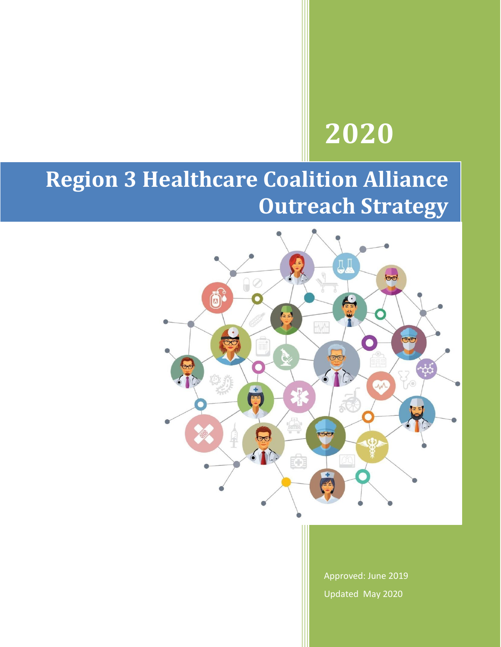# **2020**

# **Region 3 Healthcare Coalition Alliance Outreach Strategy**



Approved: June 2019 Updated May 2020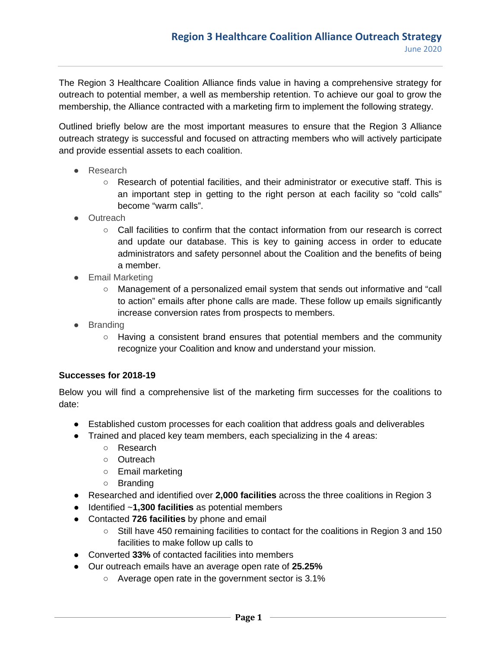The Region 3 Healthcare Coalition Alliance finds value in having a comprehensive strategy for outreach to potential member, a well as membership retention. To achieve our goal to grow the membership, the Alliance contracted with a marketing firm to implement the following strategy.

Outlined briefly below are the most important measures to ensure that the Region 3 Alliance outreach strategy is successful and focused on attracting members who will actively participate and provide essential assets to each coalition.

- Research
	- Research of potential facilities, and their administrator or executive staff. This is an important step in getting to the right person at each facility so "cold calls" become "warm calls".
- Outreach
	- Call facilities to confirm that the contact information from our research is correct and update our database. This is key to gaining access in order to educate administrators and safety personnel about the Coalition and the benefits of being a member.
- Email Marketing
	- Management of a personalized email system that sends out informative and "call to action" emails after phone calls are made. These follow up emails significantly increase conversion rates from prospects to members.
- Branding
	- Having a consistent brand ensures that potential members and the community recognize your Coalition and know and understand your mission.

#### **Successes for 2018-19**

Below you will find a comprehensive list of the marketing firm successes for the coalitions to date:

- Established custom processes for each coalition that address goals and deliverables
- Trained and placed key team members, each specializing in the 4 areas:
	- Research
	- Outreach
	- Email marketing
	- Branding
- Researched and identified over **2,000 facilities** across the three coalitions in Region 3
- Identified ~**1,300 facilities** as potential members
- Contacted **726 facilities** by phone and email
	- Still have 450 remaining facilities to contact for the coalitions in Region 3 and 150 facilities to make follow up calls to
- Converted 33% of contacted facilities into members
- Our outreach emails have an average open rate of **25.25%**
	- Average open rate in the government sector is 3.1%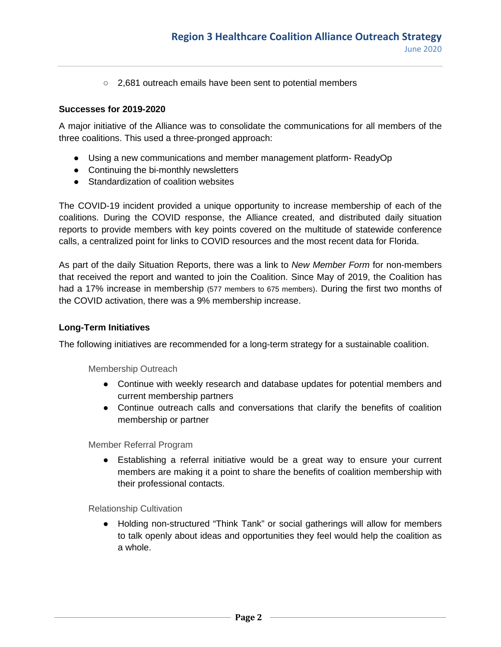○ 2.681 outreach emails have been sent to potential members

#### **Successes for 2019-2020**

A major initiative of the Alliance was to consolidate the communications for all members of the three coalitions. This used a three-pronged approach:

- Using a new communications and member management platform- ReadyOp
- Continuing the bi-monthly newsletters
- Standardization of coalition websites

The COVID-19 incident provided a unique opportunity to increase membership of each of the coalitions. During the COVID response, the Alliance created, and distributed daily situation reports to provide members with key points covered on the multitude of statewide conference calls, a centralized point for links to COVID resources and the most recent data for Florida.

As part of the daily Situation Reports, there was a link to *New Member Form* for non-members that received the report and wanted to join the Coalition. Since May of 2019, the Coalition has had a 17% increase in membership (577 members to 675 members). During the first two months of the COVID activation, there was a 9% membership increase.

#### **Long-Term Initiatives**

The following initiatives are recommended for a long-term strategy for a sustainable coalition.

Membership Outreach

- Continue with weekly research and database updates for potential members and current membership partners
- Continue outreach calls and conversations that clarify the benefits of coalition membership or partner

Member Referral Program

● Establishing a referral initiative would be a great way to ensure your current members are making it a point to share the benefits of coalition membership with their professional contacts.

Relationship Cultivation

● Holding non-structured "Think Tank" or social gatherings will allow for members to talk openly about ideas and opportunities they feel would help the coalition as a whole.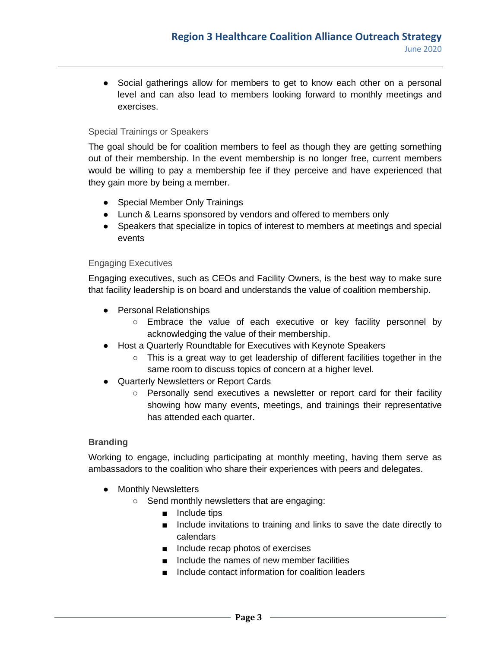• Social gatherings allow for members to get to know each other on a personal level and can also lead to members looking forward to monthly meetings and exercises.

## Special Trainings or Speakers

The goal should be for coalition members to feel as though they are getting something out of their membership. In the event membership is no longer free, current members would be willing to pay a membership fee if they perceive and have experienced that they gain more by being a member.

- Special Member Only Trainings
- Lunch & Learns sponsored by vendors and offered to members only
- Speakers that specialize in topics of interest to members at meetings and special events

#### Engaging Executives

Engaging executives, such as CEOs and Facility Owners, is the best way to make sure that facility leadership is on board and understands the value of coalition membership.

- Personal Relationships
	- Embrace the value of each executive or key facility personnel by acknowledging the value of their membership.
- Host a Quarterly Roundtable for Executives with Keynote Speakers
	- This is a great way to get leadership of different facilities together in the same room to discuss topics of concern at a higher level.
- Quarterly Newsletters or Report Cards
	- Personally send executives a newsletter or report card for their facility showing how many events, meetings, and trainings their representative has attended each quarter.

#### **Branding**

Working to engage, including participating at monthly meeting, having them serve as ambassadors to the coalition who share their experiences with peers and delegates.

- Monthly Newsletters
	- Send monthly newsletters that are engaging:
		- Include tips
		- Include invitations to training and links to save the date directly to calendars
		- Include recap photos of exercises
		- Include the names of new member facilities
		- Include contact information for coalition leaders